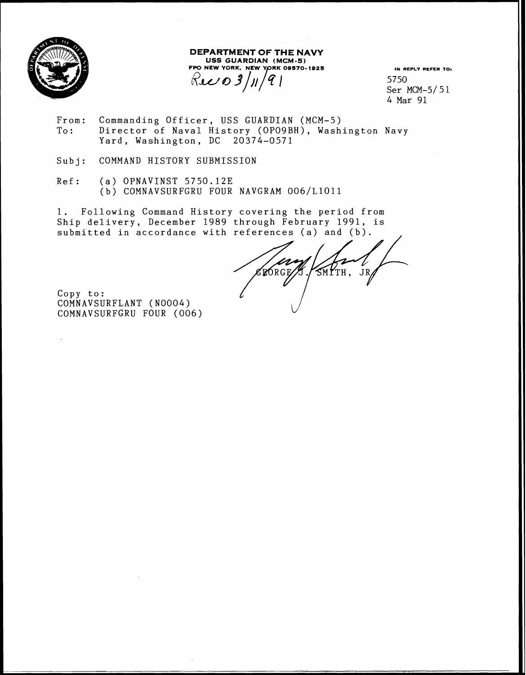

 $\overline{\phantom{a}}$ 

**DEPARTMENT OF THE NAVY USS GUARDIAN (MCM-5)**  FPO NEW YORK. NEW YORK 09570-1925 FPO NEW YORK, NEW YORK 09570-1925 IN REPLY REFER TO:<br> $RLL$  **0 3**/*j*/ $\left($ <sup>2</sup>/ $\right)$  <sup>1</sup> **IN REPLY REFER 701** 5750

5750 Ser MCM-5/51 4 Mar 91

- From: Commanding Officer, USS GUARDIAN (MCM-5)<br>To: Director of Naval History (OPO9BH), Wash Director of Naval History (OPO9BH), Washington Navy Yard, Washington, DC 20374-0571
- Subj: COMMAND HISTORY SUBMISSION
- Ref: (a) OPNAVINST 5750.12E (b) COMNAVSURFGRU FOUR NAVGRAM 006/L1011

1. Following Command History covering the period from Ship delivery, December 1989 through February 1991, is submitted in accordance with references (a) and (b).

ELORGE/A SMYTH, JR L

Copy to : COMNAVSURFLANT (N0004) COMNAVSURFGRU FOUR (006)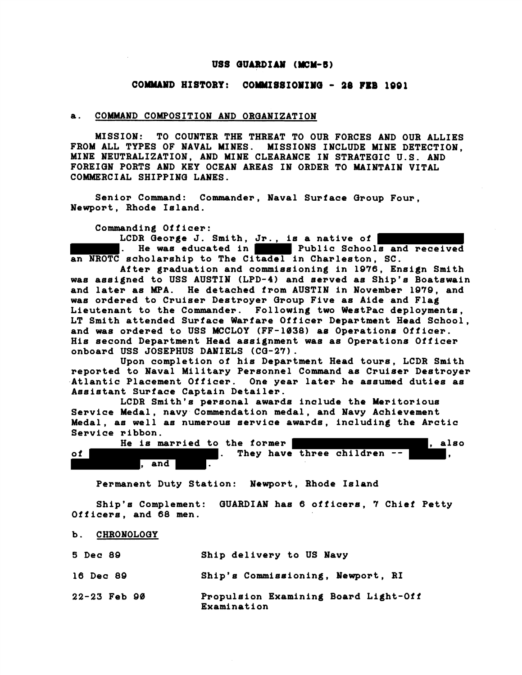## **USS GUARDIAN (MCM-5)**

## **COWYD HISTORY: COMMISSIOIIIO** - **38 FEB 1001**

## **a. COMMAND COMPOSITION AND ORQANIZATION**

**MISSION: TO COUNTER THE THREAT TO OUR FORCES AND OUR ALLIES FROM ALL TYPES OF NAVAL MINES. MISSIONS INCLUDE MINE DETECTION, MINE NEUTRALIZATION, AND MINE CLEARANCE IN STRATEQIC U.S. AND FOREIQN PORTS AND KEY OCEAN AREAS IN ORDER TO MAINTAIN VITAL COMMERCIAL SHIPPINQ LANES.** 

**Senior Command: Commander, Naval Surface Qroup Four, Newport, Rhode Island.** 

**Commanding Officer:** 

**LCDR Qeorge J. Smith, Jr., is a native of . He was educated in Public Schools and received an NROTC scholarship to The Citadel in Charleston, SC.** 

**After graduation and commissioning in 1076, Ensign Smith was assigned to USS AUSTIN (LPD-4) and served as Ship'e Boatswain and later as MPA. He detached from AUSTIN in November 1879, and was ordered to Cruiser Destroyer Group Five as Aide and Flag Lieutenant to the Commander. Following two WeetPac deployments,**  LT Smith attended Surface Warfare Officer Department Head School, **and was ordered to USS MCCLOY (FF-1038) as Operatione Offioer. His second Department Head assignment was as Operations Officer onboard USS JOSEPHUS DANIELS (CQ-27).** 

**Upon completion of his Department Head tours, LCDR Smith reported to Naval Military Personnel Command as Cruiser Destroyer Atlantic Placement Officer. One year later he assumed duties as Assistant Surface Captain Detailer.** 

**LCDR Smith's personal awards inolude the Meritorious Service Medal, navy Commendation medal, and Navy Achievement Medal, as well as numerous service awards, including the Arctic Service ribbon.** 

|    |  | He is married to the former |  |  |                             |  | also |
|----|--|-----------------------------|--|--|-----------------------------|--|------|
| of |  |                             |  |  | They have three children -- |  |      |
|    |  | and                         |  |  |                             |  |      |

**Permanent Duty Station: Newport, Rhode Island** 

**Ship's Complement: QUARDIAN has 6 officere, 7 Chief Petty Officers, and 68 men.** 

b. CHRONOLOGY

| 5 Dec 89 |  | Ship delivery to US Navy |  |  |
|----------|--|--------------------------|--|--|
|          |  |                          |  |  |

**16 Dec 80 Ship's Commissioning, Newport, RI** 

**22-23 Feb 90 Propulsion Examining Board Light-Off Examinat ion**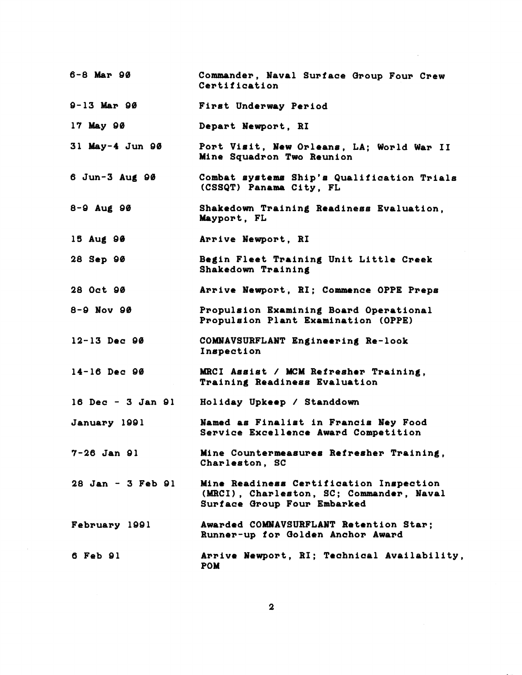| $6 - 8$ Mar 90     | Commander, Naval Surface Group Four Crew<br>Certification                                                          |
|--------------------|--------------------------------------------------------------------------------------------------------------------|
| $9 - 13$ Mar $90$  | First Underway Period                                                                                              |
| 17 May 90          | Depart Newport, RI                                                                                                 |
| 31 May-4 Jun $90$  | Port Visit, New Orleans, LA; World War II<br>Mine Squadron Two Reunion                                             |
| $6$ Jun-3 Aug $90$ | Combat systems Ship's Qualification Trials<br>(CSSQT) Panama City, FL                                              |
| $8 - 9$ Aug 90     | Shakedown Training Readiness Evaluation,<br>Mayport, FL                                                            |
| 15 Aug 96          | Arrive Newport, RI                                                                                                 |
| 28 Sep 90          | Begin Fleet Training Unit Little Creek<br>Shakedown Training                                                       |
| 28 Oct 90          | Arrive Newport, RI; Commence OPPE Preps                                                                            |
| $8 - 9$ Nov $90$   | Propulsion Examining Board Operational<br>Propulsion Plant Examination (OPPE)                                      |
| $12 - 13$ Dec 90   | COMNAVSURFLANT Engineering Re-look<br>Inspection                                                                   |
| $14-16$ Dec 90     | MRCI Assist / MCM Refresher Training,<br>Training Readiness Evaluation                                             |
| 16 Dec - 3 Jan 91  | Holiday Upkeep / Standdown                                                                                         |
| January 1991       | Named as Finalist in Francis Ney Food<br>Service Excellence Award Competition                                      |
| $7 - 26$ Jan 91    | Mine Countermeasures Refresher Training,<br>Charleston, SC                                                         |
| 28 Jan - 3 Feb 91  | Mine Readiness Certification Inspection<br>(MRCI), Charleston, SC; Commander, Naval<br>Surface Group Four Embarked |
| February 1991      | Awarded COMNAVSURFLANT Retention Star;<br>Runner-up for Golden Anchor Award                                        |
| 6 Feb 91           | Arrive Newport, RI; Technical Availability,<br><b>POM</b>                                                          |

 $\mathcal{L}^{\text{max}}_{\text{max}}$  ,  $\mathcal{L}^{\text{max}}_{\text{max}}$ 

 $\sim$   $\sim$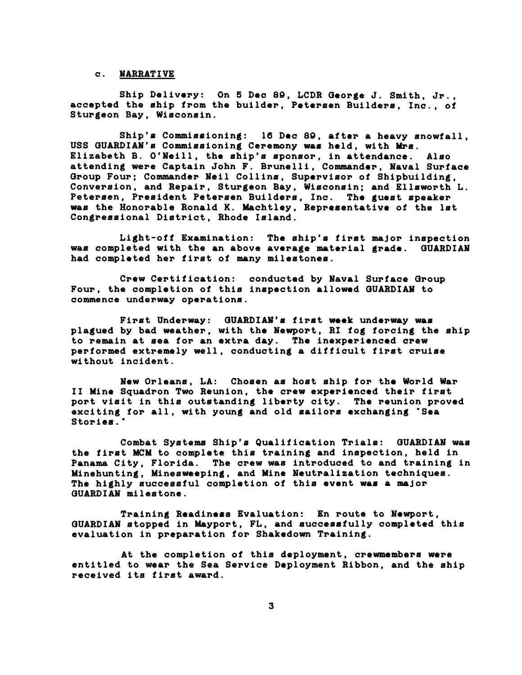## **c. NARRATIVE**

**Ship Delivery: On 6 Dac 80, LCDR Oeorge J. Smith, Jr., accepted the ship from the builder, Petersen Builders, Inc., of Sturgeon Bay, Wisconsin.** 

**Ship's Commissioning: 16 Dec 80, after a heavy snowfall,**  USS GUARDIAN's Commissioning Ceremony was held, with Mrs. **Elizabeth B. O'Neill, the ship's sponsor, in attendance. Also attending were Captain John F. Brunelli, Commander, Naval Surface Qroup Four; Commander Neil Collins, Supervisor of Shipbuilding, Conversion, and Repair, Sturgeon Bay, Wisconein; and Ellsworth L. Petereen, President Petersen Builders, Inc. The guest speaker was the Honorable Ronald K. Machtley, Representative of the 1st Congressional District, Rhode Island.** 

**Light-off Examination: The ship's first major inspection was completed with the an above average material grade. OUARDIAN had completed her first of many milestones.** 

**Craw Certification: conducted by Naval Surface Oroup Four, the completion of this inspection allowed WARDIM to commence underway operations.** 

**First Underway: OUARDIAN'e firet week underway was plagued by bad weather, with the Newport, RI fog forcing the ship to remain at sea for an extra day. The inexperienced orew performed extremely well, conducting a difficult first cruise without incident.** 

**New Orleans, LA: Chosen ae host ship for the World War I1 Mine Squadron Two Reunion, the crew experienced their first port visit in this outstanding liberty city. The reunion proved**  exciting for all, with young and old sailors exchanging **"Sea**<br>Stories."

Combat Systems Ship's Qualification Trials: GUARDIAN was **the first MCM to complete this training and inspection, held in Panama City, Florida. The crew was introduced to and training in Minehunting, Minesweeping, and Mine Neutralization techniques. The highly successful completion of this event was a major QUARDIAN milestone.** 

**Training Readiness Evaluation: En route to Newport, OUARDIAN stopped in Mayport, FL, and succesefully completed this evaluation in preparation for Shakedown Training.** 

**At the completion of this deployment, crewmembers were entitled to wear the Sea Service Deployment Ribbon, and the ship received its first award.**